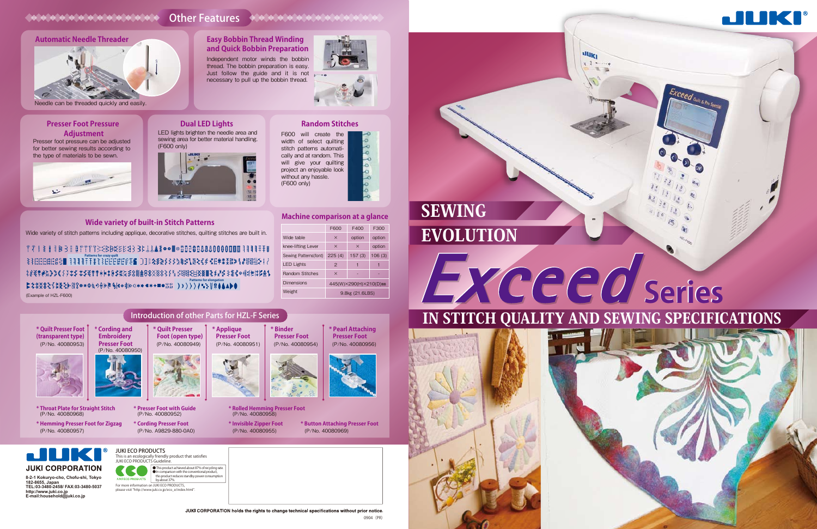#### LED lights brighten the needle area and sewing area for better material handling. **Dual LED Lights**



Wide variety of stitch patterns including applique, decorative stitches, quilting stitches are built in. 



## **Wide variety of built-in Stitch Patterns Machine comparison at a glance**

# **Random Stitches**

#### Presser foot pressure can be adjusted for better sewing results according to the type of materials to be sewn. **Presser Foot Pressure Adjustment**



For more information on JUKI ECO PRODUCTS, please visit "http://www.juki.co.jp/eco\_e/index.html



### **LILIKI JUKI CORPORATION**

#### Needle can be threaded quickly and easily.

**O** This product achieved about 87% of recycling rate. ● In comparison with the conventional product, this product reduces standby power consumption

#### Other Features Alexandra Alexandra and

#### **Automatic Needle Threader**



Independent motor winds the bobbin thread. The bobbin preparation is easy.



necessary to pull up the bobbin thread.

**Easy Bobbin Thread Winding and Quick Bobbin Preparation**

**Patterns for crazy quilt Patterns for elongation**

(Example of HZL-F600)

|                        | F600                   | F400     | F300   |
|------------------------|------------------------|----------|--------|
| Wide table             | $\times$               | option   | option |
| knee-lifting Lever     | $\times$               | $\times$ | option |
| Sewing Patterns(font)  | 225(4)                 | 157(3)   | 106(3) |
| <b>LED Lights</b>      | $\overline{2}$         | 1        |        |
| <b>Random Stitches</b> | $\times$               |          |        |
| <b>Dimensions</b>      | 445(W)×290(H)×210(D)mm |          |        |
| Weight                 | 9.8kg (21.6LBS)        |          |        |

**8-2-1 Kokuryo-cho, Chofu-shi, Tokyo 182-8655, Japan TEL:03-3480-2458/ FAX:03-3480-5037 http://www.juki.co.jp E-mail:household@juki.co.jp**

This is an ecologically friendly product that satisfies

by about 37%.

JUKI ECO PRODUCTS Guideline.

**JUKI ECO PRODUCTS** 

# IN STITCH QUALITY AND SEWING SPECIFICATIONS

Exceed Count & Pro Spec

# EVOLUTION SEWING



uuki  $x - 1$ 



#### JUKI CORPORATION holds the rights to change technical specifications without prior notice.  $0.004$  (PP)